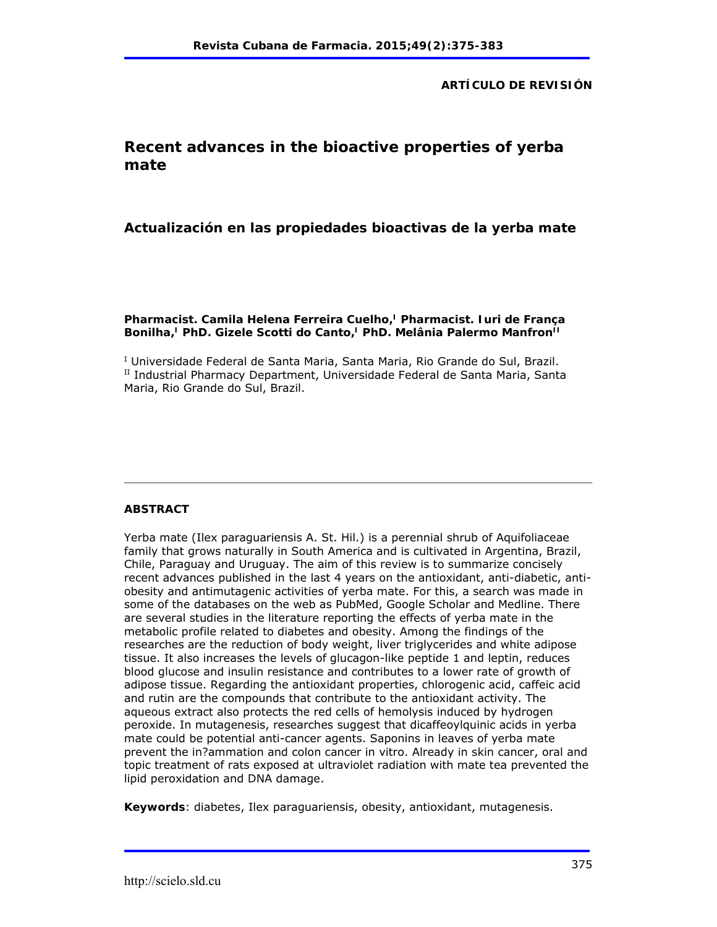**ARTÍCULO DE REVISIÓN**

# **Recent advances in the bioactive properties of yerba mate**

**Actualización en las propiedades bioactivas de la yerba mate**

Pharmacist. Camila Helena Ferreira Cuelho,<sup>1</sup> Pharmacist. Iuri de Franca Bonilha,<sup>I</sup> PhD. Gizele Scotti do Canto,<sup>I</sup> PhD. Melânia Palermo Manfron<sup>II</sup>

<sup>I</sup> Universidade Federal de Santa Maria, Santa Maria, Rio Grande do Sul, Brazil.  $^{\text{II}}$  Industrial Pharmacy Department, Universidade Federal de Santa Maria, Santa Maria, Rio Grande do Sul, Brazil.

## **ABSTRACT**

Yerba mate (Ilex paraguariensis A. St. Hil.) is a perennial shrub of Aquifoliaceae family that grows naturally in South America and is cultivated in Argentina, Brazil, Chile, Paraguay and Uruguay. The aim of this review is to summarize concisely recent advances published in the last 4 years on the antioxidant, anti-diabetic, antiobesity and antimutagenic activities of yerba mate. For this, a search was made in some of the databases on the web as PubMed, Google Scholar and Medline. There are several studies in the literature reporting the effects of yerba mate in the metabolic profile related to diabetes and obesity. Among the findings of the researches are the reduction of body weight, liver triglycerides and white adipose tissue. It also increases the levels of glucagon-like peptide 1 and leptin, reduces blood glucose and insulin resistance and contributes to a lower rate of growth of adipose tissue. Regarding the antioxidant properties, chlorogenic acid, caffeic acid and rutin are the compounds that contribute to the antioxidant activity. The aqueous extract also protects the red cells of hemolysis induced by hydrogen peroxide. In mutagenesis, researches suggest that dicaffeoylquinic acids in yerba mate could be potential anti-cancer agents. Saponins in leaves of yerba mate prevent the in?ammation and colon cancer in vitro. Already in skin cancer, oral and topic treatment of rats exposed at ultraviolet radiation with mate tea prevented the lipid peroxidation and DNA damage.

**Keywords**: diabetes, Ilex paraguariensis, obesity, antioxidant, mutagenesis.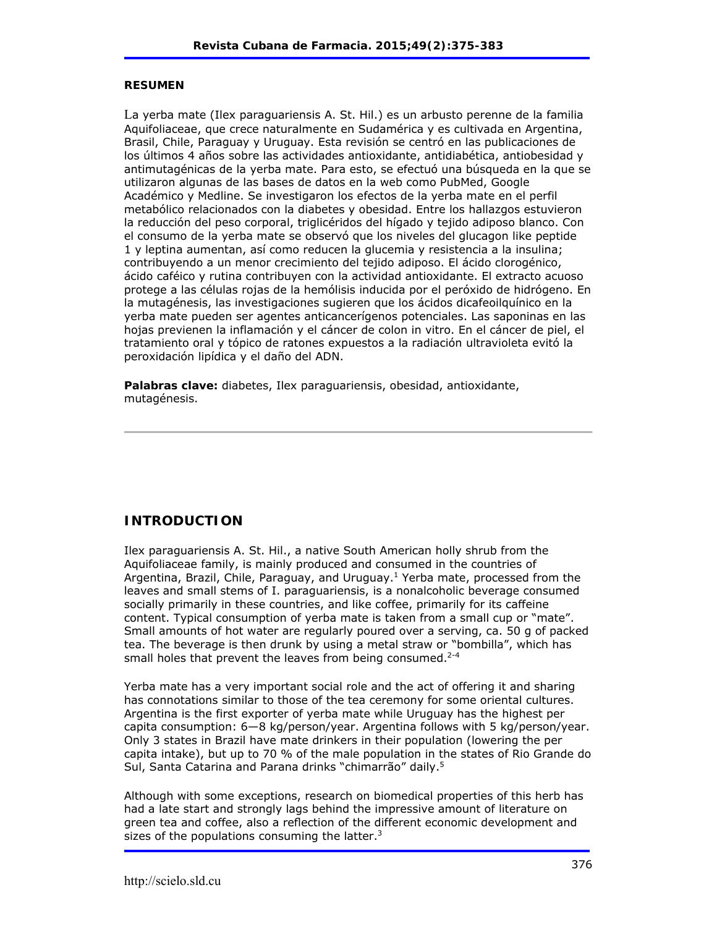#### **RESUMEN**

La yerba mate (Ilex paraguariensis A. St. Hil.) es un arbusto perenne de la familia Aquifoliaceae, que crece naturalmente en Sudamérica y es cultivada en Argentina, Brasil, Chile, Paraguay y Uruguay. Esta revisión se centró en las publicaciones de los últimos 4 años sobre las actividades antioxidante, antidiabética, antiobesidad y antimutagénicas de la yerba mate. Para esto, se efectuó una búsqueda en la que se utilizaron algunas de las bases de datos en la web como PubMed, Google Académico y Medline. Se investigaron los efectos de la yerba mate en el perfil metabólico relacionados con la diabetes y obesidad. Entre los hallazgos estuvieron la reducción del peso corporal, triglicéridos del hígado y tejido adiposo blanco. Con el consumo de la yerba mate se observó que los niveles del glucagon like peptide 1 y leptina aumentan, así como reducen la glucemia y resistencia a la insulina; contribuyendo a un menor crecimiento del tejido adiposo. El ácido clorogénico, ácido caféico y rutina contribuyen con la actividad antioxidante. El extracto acuoso protege a las células rojas de la hemólisis inducida por el peróxido de hidrógeno. En la mutagénesis, las investigaciones sugieren que los ácidos dicafeoilquínico en la yerba mate pueden ser agentes anticancerígenos potenciales. Las saponinas en las hojas previenen la inflamación y el cáncer de colon in vitro. En el cáncer de piel, el tratamiento oral y tópico de ratones expuestos a la radiación ultravioleta evitó la peroxidación lipídica y el daño del ADN.

**Palabras clave:** diabetes, Ilex paraguariensis, obesidad, antioxidante, mutagénesis.

# **INTRODUCTION**

Ilex paraguariensis A. St. Hil., a native South American holly shrub from the Aquifoliaceae family, is mainly produced and consumed in the countries of Argentina, Brazil, Chile, Paraguay, and Uruguay.<sup>1</sup> Yerba mate, processed from the leaves and small stems of I. paraguariensis, is a nonalcoholic beverage consumed socially primarily in these countries, and like coffee, primarily for its caffeine content. Typical consumption of yerba mate is taken from a small cup or "mate". Small amounts of hot water are regularly poured over a serving, ca. 50 g of packed tea. The beverage is then drunk by using a metal straw or "bombilla", which has small holes that prevent the leaves from being consumed. $2-4$ 

Yerba mate has a very important social role and the act of offering it and sharing has connotations similar to those of the tea ceremony for some oriental cultures. Argentina is the first exporter of yerba mate while Uruguay has the highest per capita consumption: 6—8 kg/person/year. Argentina follows with 5 kg/person/year. Only 3 states in Brazil have mate drinkers in their population (lowering the per capita intake), but up to 70 % of the male population in the states of Rio Grande do Sul, Santa Catarina and Parana drinks "chimarrão" daily.5

Although with some exceptions, research on biomedical properties of this herb has had a late start and strongly lags behind the impressive amount of literature on green tea and coffee, also a reflection of the different economic development and sizes of the populations consuming the latter. $3$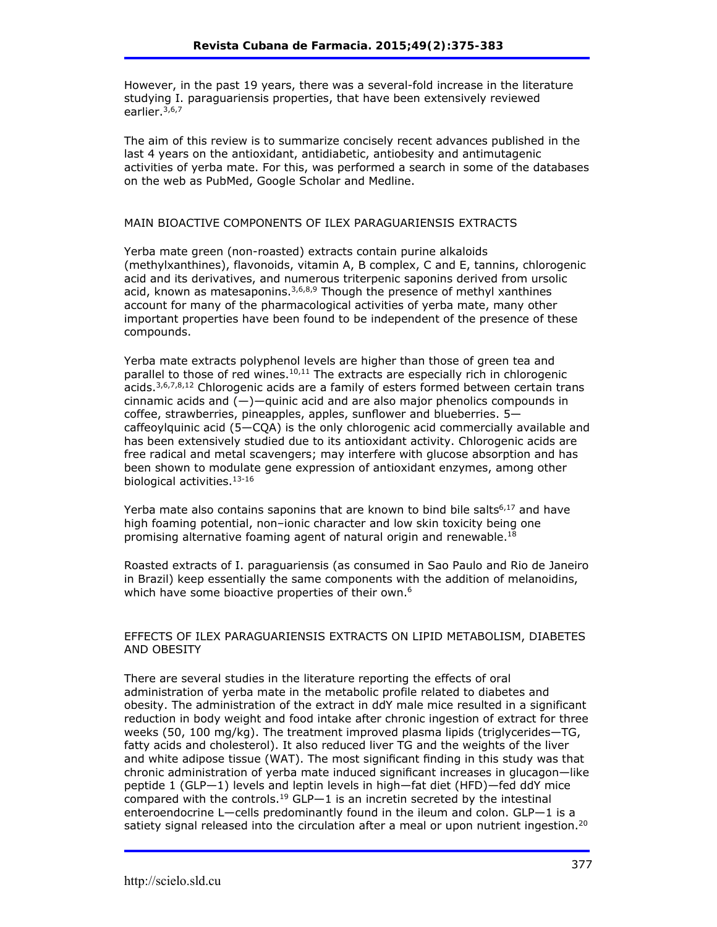However, in the past 19 years, there was a several-fold increase in the literature studying I. paraguariensis properties, that have been extensively reviewed earlier.3,6,7

The aim of this review is to summarize concisely recent advances published in the last 4 years on the antioxidant, antidiabetic, antiobesity and antimutagenic activities of yerba mate. For this, was performed a search in some of the databases on the web as PubMed, Google Scholar and Medline.

#### MAIN BIOACTIVE COMPONENTS OF ILEX PARAGUARIENSIS EXTRACTS

Yerba mate green (non-roasted) extracts contain purine alkaloids (methylxanthines), flavonoids, vitamin A, B complex, C and E, tannins, chlorogenic acid and its derivatives, and numerous triterpenic saponins derived from ursolic acid, known as matesaponins.  $3,6,8,9$  Though the presence of methyl xanthines account for many of the pharmacological activities of yerba mate, many other important properties have been found to be independent of the presence of these compounds.

Yerba mate extracts polyphenol levels are higher than those of green tea and parallel to those of red wines. $10,11$  The extracts are especially rich in chlorogenic acids.<sup>3,6,7,8,12</sup> Chlorogenic acids are a family of esters formed between certain trans cinnamic acids and  $(-)$ —quinic acid and are also major phenolics compounds in coffee, strawberries, pineapples, apples, sunflower and blueberries. 5 caffeoylquinic acid (5—CQA) is the only chlorogenic acid commercially available and has been extensively studied due to its antioxidant activity. Chlorogenic acids are free radical and metal scavengers; may interfere with glucose absorption and has been shown to modulate gene expression of antioxidant enzymes, among other biological activities.<sup>13-16</sup>

Yerba mate also contains saponins that are known to bind bile salts<sup>6,17</sup> and have high foaming potential, non-ionic character and low skin toxicity being one promising alternative foaming agent of natural origin and renewable.<sup>18</sup>

Roasted extracts of I. paraguariensis (as consumed in Sao Paulo and Rio de Janeiro in Brazil) keep essentially the same components with the addition of melanoidins, which have some bioactive properties of their own.<sup>6</sup>

#### EFFECTS OF ILEX PARAGUARIENSIS EXTRACTS ON LIPID METABOLISM, DIABETES AND OBESITY

There are several studies in the literature reporting the effects of oral administration of yerba mate in the metabolic profile related to diabetes and obesity. The administration of the extract in ddY male mice resulted in a significant reduction in body weight and food intake after chronic ingestion of extract for three weeks (50, 100 mg/kg). The treatment improved plasma lipids (triglycerides—TG, fatty acids and cholesterol). It also reduced liver TG and the weights of the liver and white adipose tissue (WAT). The most significant finding in this study was that chronic administration of yerba mate induced significant increases in glucagon—like peptide 1 (GLP—1) levels and leptin levels in high—fat diet (HFD)—fed ddY mice compared with the controls.<sup>19</sup> GLP-1 is an incretin secreted by the intestinal enteroendocrine L—cells predominantly found in the ileum and colon. GLP—1 is a satiety signal released into the circulation after a meal or upon nutrient ingestion.<sup>20</sup>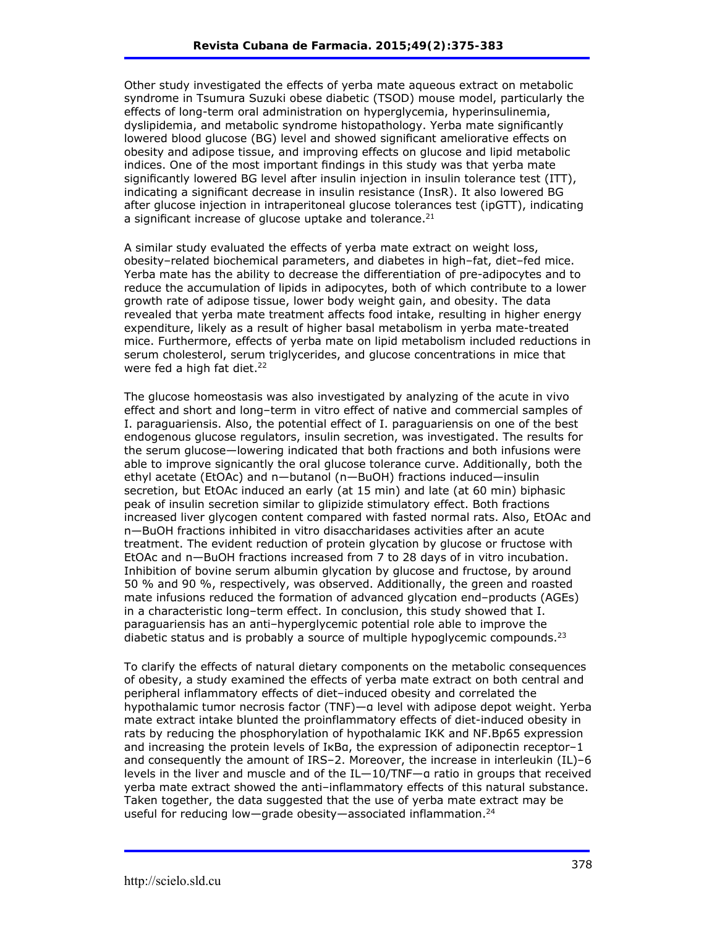Other study investigated the effects of yerba mate aqueous extract on metabolic syndrome in Tsumura Suzuki obese diabetic (TSOD) mouse model, particularly the effects of long-term oral administration on hyperglycemia, hyperinsulinemia, dyslipidemia, and metabolic syndrome histopathology. Yerba mate significantly lowered blood glucose (BG) level and showed significant ameliorative effects on obesity and adipose tissue, and improving effects on glucose and lipid metabolic indices. One of the most important findings in this study was that yerba mate significantly lowered BG level after insulin injection in insulin tolerance test (ITT), indicating a significant decrease in insulin resistance (InsR). It also lowered BG after glucose injection in intraperitoneal glucose tolerances test (ipGTT), indicating a significant increase of glucose uptake and tolerance. $21$ 

A similar study evaluated the effects of yerba mate extract on weight loss, obesity-related biochemical parameters, and diabetes in high-fat, diet-fed mice. Yerba mate has the ability to decrease the differentiation of pre-adipocytes and to reduce the accumulation of lipids in adipocytes, both of which contribute to a lower growth rate of adipose tissue, lower body weight gain, and obesity. The data revealed that yerba mate treatment affects food intake, resulting in higher energy expenditure, likely as a result of higher basal metabolism in yerba mate-treated mice. Furthermore, effects of yerba mate on lipid metabolism included reductions in serum cholesterol, serum triglycerides, and glucose concentrations in mice that were fed a high fat diet.<sup>22</sup>

The glucose homeostasis was also investigated by analyzing of the acute in vivo effect and short and long-term in vitro effect of native and commercial samples of I. paraguariensis. Also, the potential effect of I. paraguariensis on one of the best endogenous glucose regulators, insulin secretion, was investigated. The results for the serum glucose—lowering indicated that both fractions and both infusions were able to improve signicantly the oral glucose tolerance curve. Additionally, both the ethyl acetate (EtOAc) and n—butanol (n—BuOH) fractions induced—insulin secretion, but EtOAc induced an early (at 15 min) and late (at 60 min) biphasic peak of insulin secretion similar to glipizide stimulatory effect. Both fractions increased liver glycogen content compared with fasted normal rats. Also, EtOAc and n—BuOH fractions inhibited in vitro disaccharidases activities after an acute treatment. The evident reduction of protein glycation by glucose or fructose with EtOAc and n—BuOH fractions increased from 7 to 28 days of in vitro incubation. Inhibition of bovine serum albumin glycation by glucose and fructose, by around 50 % and 90 %, respectively, was observed. Additionally, the green and roasted mate infusions reduced the formation of advanced glycation end-products (AGEs) in a characteristic long-term effect. In conclusion, this study showed that I. paraguariensis has an anti-hyperglycemic potential role able to improve the diabetic status and is probably a source of multiple hypoglycemic compounds.<sup>23</sup>

To clarify the effects of natural dietary components on the metabolic consequences of obesity, a study examined the effects of yerba mate extract on both central and peripheral inflammatory effects of diet-induced obesity and correlated the hypothalamic tumor necrosis factor (TNF)—α level with adipose depot weight. Yerba mate extract intake blunted the proinflammatory effects of diet-induced obesity in rats by reducing the phosphorylation of hypothalamic IKK and NF.Bp65 expression and increasing the protein levels of IkBa, the expression of adiponectin receptor-1 and consequently the amount of IRS-2. Moreover, the increase in interleukin  $(IL)$ -6 levels in the liver and muscle and of the IL—10/TNF—α ratio in groups that received yerba mate extract showed the anti-inflammatory effects of this natural substance. Taken together, the data suggested that the use of yerba mate extract may be useful for reducing low—grade obesity—associated inflammation.<sup>24</sup>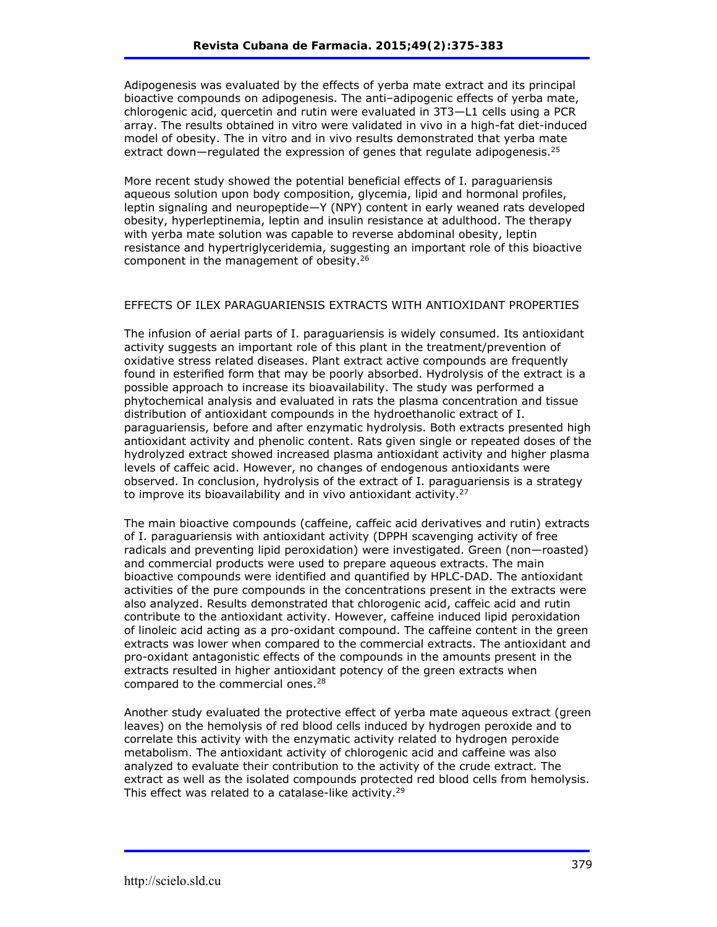Adipogenesis was evaluated by the effects of yerba mate extract and its principal bioactive compounds on adipogenesis. The anti-adipogenic effects of yerba mate, chlorogenic acid, quercetin and rutin were evaluated in 3T3—L1 cells using a PCR array. The results obtained in vitro were validated in vivo in a high-fat diet-induced model of obesity. The in vitro and in vivo results demonstrated that yerba mate extract down—regulated the expression of genes that regulate adipogenesis.<sup>25</sup>

More recent study showed the potential beneficial effects of I. paraguariensis aqueous solution upon body composition, glycemia, lipid and hormonal profiles, leptin signaling and neuropeptide—Y (NPY) content in early weaned rats developed obesity, hyperleptinemia, leptin and insulin resistance at adulthood. The therapy with yerba mate solution was capable to reverse abdominal obesity, leptin resistance and hypertriglyceridemia, suggesting an important role of this bioactive component in the management of obesity.26

### EFFECTS OF ILEX PARAGUARIENSIS EXTRACTS WITH ANTIOXIDANT PROPERTIES

The infusion of aerial parts of I. paraguariensis is widely consumed. Its antioxidant activity suggests an important role of this plant in the treatment/prevention of oxidative stress related diseases. Plant extract active compounds are frequently found in esterified form that may be poorly absorbed. Hydrolysis of the extract is a possible approach to increase its bioavailability. The study was performed a phytochemical analysis and evaluated in rats the plasma concentration and tissue distribution of antioxidant compounds in the hydroethanolic extract of I. paraguariensis, before and after enzymatic hydrolysis. Both extracts presented high antioxidant activity and phenolic content. Rats given single or repeated doses of the hydrolyzed extract showed increased plasma antioxidant activity and higher plasma levels of caffeic acid. However, no changes of endogenous antioxidants were observed. In conclusion, hydrolysis of the extract of I. paraguariensis is a strategy to improve its bioavailability and in vivo antioxidant activity.<sup>27</sup>

The main bioactive compounds (caffeine, caffeic acid derivatives and rutin) extracts of I. paraguariensis with antioxidant activity (DPPH scavenging activity of free radicals and preventing lipid peroxidation) were investigated. Green (non—roasted) and commercial products were used to prepare aqueous extracts. The main bioactive compounds were identified and quantified by HPLC-DAD. The antioxidant activities of the pure compounds in the concentrations present in the extracts were also analyzed. Results demonstrated that chlorogenic acid, caffeic acid and rutin contribute to the antioxidant activity. However, caffeine induced lipid peroxidation of linoleic acid acting as a pro-oxidant compound. The caffeine content in the green extracts was lower when compared to the commercial extracts. The antioxidant and pro-oxidant antagonistic effects of the compounds in the amounts present in the extracts resulted in higher antioxidant potency of the green extracts when compared to the commercial ones.<sup>28</sup>

Another study evaluated the protective effect of yerba mate aqueous extract (green leaves) on the hemolysis of red blood cells induced by hydrogen peroxide and to correlate this activity with the enzymatic activity related to hydrogen peroxide metabolism. The antioxidant activity of chlorogenic acid and caffeine was also analyzed to evaluate their contribution to the activity of the crude extract. The extract as well as the isolated compounds protected red blood cells from hemolysis. This effect was related to a catalase-like activity.<sup>29</sup>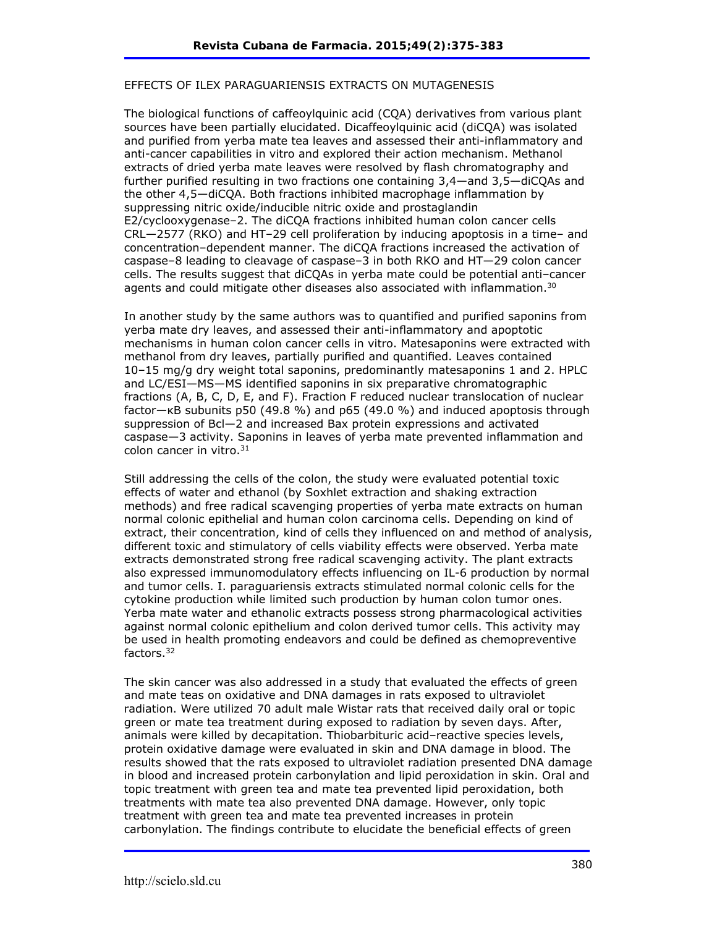#### EFFECTS OF ILEX PARAGUARIENSIS EXTRACTS ON MUTAGENESIS

The biological functions of caffeoylquinic acid (CQA) derivatives from various plant sources have been partially elucidated. Dicaffeoylquinic acid (diCQA) was isolated and purified from yerba mate tea leaves and assessed their anti-inflammatory and anti-cancer capabilities in vitro and explored their action mechanism. Methanol extracts of dried yerba mate leaves were resolved by flash chromatography and further purified resulting in two fractions one containing 3,4—and 3,5—diCQAs and the other 4,5—diCQA. Both fractions inhibited macrophage inflammation by suppressing nitric oxide/inducible nitric oxide and prostaglandin E2/cyclooxygenase-2. The diCQA fractions inhibited human colon cancer cells CRL-2577 (RKO) and HT-29 cell proliferation by inducing apoptosis in a time- and concentration-dependent manner. The diCQA fractions increased the activation of caspase–8 leading to cleavage of caspase–3 in both RKO and HT-29 colon cancer cells. The results suggest that diCQAs in yerba mate could be potential anti-cancer agents and could mitigate other diseases also associated with inflammation.<sup>30</sup>

In another study by the same authors was to quantified and purified saponins from yerba mate dry leaves, and assessed their anti-inflammatory and apoptotic mechanisms in human colon cancer cells in vitro. Matesaponins were extracted with methanol from dry leaves, partially purified and quantified. Leaves contained 10‒15 mg/g dry weight total saponins, predominantly matesaponins 1 and 2. HPLC and LC/ESI—MS—MS identified saponins in six preparative chromatographic fractions (A, B, C, D, E, and F). Fraction F reduced nuclear translocation of nuclear factor—κB subunits p50 (49.8 %) and p65 (49.0 %) and induced apoptosis through suppression of Bcl—2 and increased Bax protein expressions and activated caspase—3 activity. Saponins in leaves of yerba mate prevented inflammation and colon cancer in vitro.<sup>31</sup>

Still addressing the cells of the colon, the study were evaluated potential toxic effects of water and ethanol (by Soxhlet extraction and shaking extraction methods) and free radical scavenging properties of yerba mate extracts on human normal colonic epithelial and human colon carcinoma cells. Depending on kind of extract, their concentration, kind of cells they influenced on and method of analysis, different toxic and stimulatory of cells viability effects were observed. Yerba mate extracts demonstrated strong free radical scavenging activity. The plant extracts also expressed immunomodulatory effects influencing on IL-6 production by normal and tumor cells. I. paraguariensis extracts stimulated normal colonic cells for the cytokine production while limited such production by human colon tumor ones. Yerba mate water and ethanolic extracts possess strong pharmacological activities against normal colonic epithelium and colon derived tumor cells. This activity may be used in health promoting endeavors and could be defined as chemopreventive factors.32

The skin cancer was also addressed in a study that evaluated the effects of green and mate teas on oxidative and DNA damages in rats exposed to ultraviolet radiation. Were utilized 70 adult male Wistar rats that received daily oral or topic green or mate tea treatment during exposed to radiation by seven days. After, animals were killed by decapitation. Thiobarbituric acid-reactive species levels, protein oxidative damage were evaluated in skin and DNA damage in blood. The results showed that the rats exposed to ultraviolet radiation presented DNA damage in blood and increased protein carbonylation and lipid peroxidation in skin. Oral and topic treatment with green tea and mate tea prevented lipid peroxidation, both treatments with mate tea also prevented DNA damage. However, only topic treatment with green tea and mate tea prevented increases in protein carbonylation. The findings contribute to elucidate the beneficial effects of green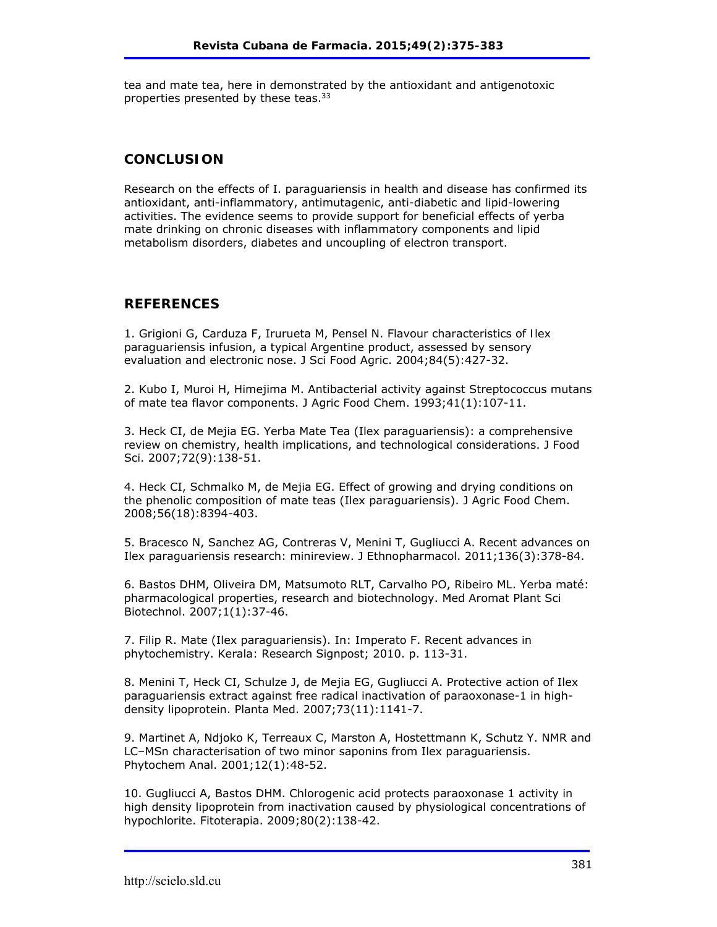tea and mate tea, here in demonstrated by the antioxidant and antigenotoxic properties presented by these teas.33

# **CONCLUSION**

Research on the effects of I. paraguariensis in health and disease has confirmed its antioxidant, anti-inflammatory, antimutagenic, anti-diabetic and lipid-lowering activities. The evidence seems to provide support for beneficial effects of yerba mate drinking on chronic diseases with inflammatory components and lipid metabolism disorders, diabetes and uncoupling of electron transport.

## **REFERENCES**

1. Grigioni G, Carduza F, Irurueta M, Pensel N. Flavour characteristics of *Ilex paraguariensis* infusion, a typical Argentine product, assessed by sensory evaluation and electronic nose. J Sci Food Agric. 2004;84(5):427-32.

2. Kubo I, Muroi H, Himejima M. Antibacterial activity against Streptococcus mutans of mate tea flavor components. J Agric Food Chem. 1993;41(1):107-11.

3. Heck CI, de Mejia EG. Yerba Mate Tea (Ilex paraguariensis): a comprehensive review on chemistry, health implications, and technological considerations. J Food Sci. 2007;72(9):138-51.

4. Heck CI, Schmalko M, de Mejia EG. Effect of growing and drying conditions on the phenolic composition of mate teas (Ilex paraguariensis). J Agric Food Chem. 2008;56(18):8394-403.

5. Bracesco N, Sanchez AG, Contreras V, Menini T, Gugliucci A. Recent advances on Ilex paraguariensis research: minireview. J Ethnopharmacol. 2011;136(3):378-84.

6. Bastos DHM, Oliveira DM, Matsumoto RLT, Carvalho PO, Ribeiro ML. Yerba maté: pharmacological properties, research and biotechnology. Med Aromat Plant Sci Biotechnol. 2007;1(1):37-46.

7. Filip R. Mate (Ilex paraguariensis). In: Imperato F. Recent advances in phytochemistry. Kerala: Research Signpost; 2010. p. 113-31.

8. Menini T, Heck CI, Schulze J, de Mejia EG, Gugliucci A. Protective action of Ilex paraguariensis extract against free radical inactivation of paraoxonase-1 in highdensity lipoprotein. Planta Med. 2007;73(11):1141-7.

9. Martinet A, Ndjoko K, Terreaux C, Marston A, Hostettmann K, Schutz Y. NMR and LC–MSn characterisation of two minor saponins from Ilex paraguariensis. Phytochem Anal. 2001;12(1):48-52.

10. Gugliucci A, Bastos DHM. Chlorogenic acid protects paraoxonase 1 activity in high density lipoprotein from inactivation caused by physiological concentrations of hypochlorite. Fitoterapia. 2009;80(2):138-42.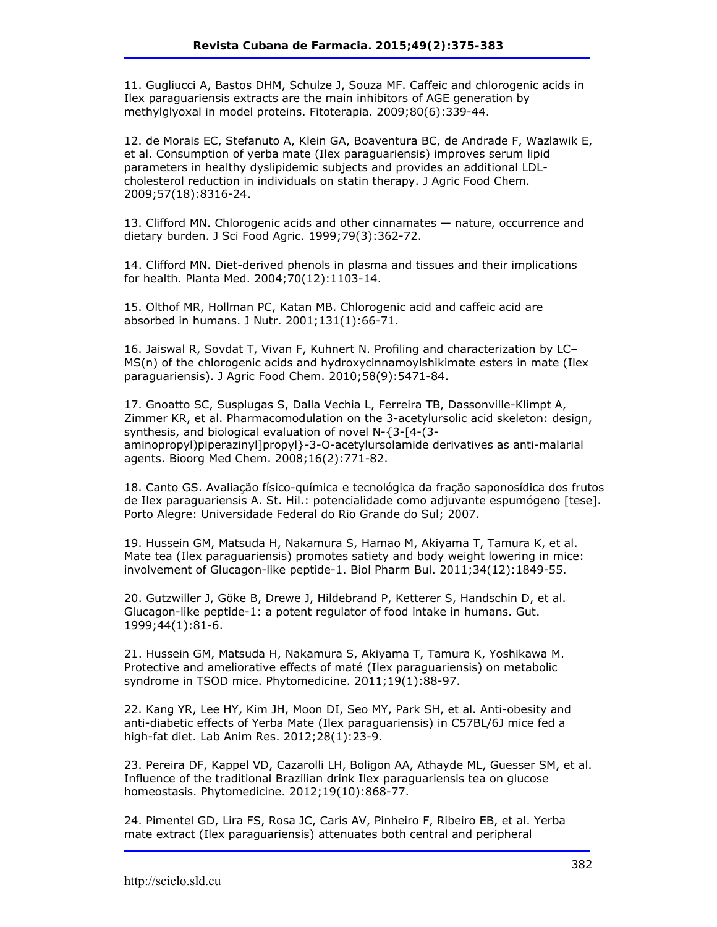11. Gugliucci A, Bastos DHM, Schulze J, Souza MF. Caffeic and chlorogenic acids in Ilex paraguariensis extracts are the main inhibitors of AGE generation by methylglyoxal in model proteins. Fitoterapia. 2009;80(6):339-44.

12. de Morais EC, Stefanuto A, Klein GA, Boaventura BC, de Andrade F, Wazlawik E, et al. Consumption of yerba mate (Ilex paraguariensis) improves serum lipid parameters in healthy dyslipidemic subjects and provides an additional LDLcholesterol reduction in individuals on statin therapy. J Agric Food Chem. 2009;57(18):8316-24.

13. Clifford MN. Chlorogenic acids and other cinnamates — nature, occurrence and dietary burden. J Sci Food Agric. 1999;79(3):362-72.

14. Clifford MN. Diet-derived phenols in plasma and tissues and their implications for health. Planta Med. 2004;70(12):1103-14.

15. Olthof MR, Hollman PC, Katan MB. Chlorogenic acid and caffeic acid are absorbed in humans. J Nutr. 2001;131(1):66-71.

16. Jaiswal R, Sovdat T, Vivan F, Kuhnert N. Profiling and characterization by LC– MS(n) of the chlorogenic acids and hydroxycinnamoylshikimate esters in mate (Ilex paraguariensis). J Agric Food Chem. 2010;58(9):5471-84.

17. Gnoatto SC, Susplugas S, Dalla Vechia L, Ferreira TB, Dassonville-Klimpt A, Zimmer KR, et al. Pharmacomodulation on the 3-acetylursolic acid skeleton: design, synthesis, and biological evaluation of novel N-{3-[4-(3 aminopropyl)piperazinyl]propyl}-3-O-acetylursolamide derivatives as anti-malarial agents. Bioorg Med Chem. 2008;16(2):771-82.

18. Canto GS. Avaliação físico-química e tecnológica da fração saponosídica dos frutos de Ilex paraguariensis A. St. Hil.: potencialidade como adjuvante espumógeno [tese]. Porto Alegre: Universidade Federal do Rio Grande do Sul; 2007.

19. Hussein GM, Matsuda H, Nakamura S, Hamao M, Akiyama T, Tamura K, et al. Mate tea (Ilex paraguariensis) promotes satiety and body weight lowering in mice: involvement of Glucagon-like peptide-1. Biol Pharm Bul. 2011;34(12):1849-55.

20. Gutzwiller J, Göke B, Drewe J, Hildebrand P, Ketterer S, Handschin D, et al. Glucagon-like peptide-1: a potent regulator of food intake in humans. Gut. 1999;44(1):81-6.

21. Hussein GM, Matsuda H, Nakamura S, Akiyama T, Tamura K, Yoshikawa M. Protective and ameliorative effects of maté (Ilex paraguariensis) on metabolic syndrome in TSOD mice. Phytomedicine. 2011;19(1):88-97.

22. Kang YR, Lee HY, Kim JH, Moon DI, Seo MY, Park SH, et al. Anti-obesity and anti-diabetic effects of Yerba Mate (Ilex paraguariensis) in C57BL/6J mice fed a high-fat diet. Lab Anim Res. 2012;28(1):23-9.

23. Pereira DF, Kappel VD, Cazarolli LH, Boligon AA, Athayde ML, Guesser SM, et al. Influence of the traditional Brazilian drink Ilex paraguariensis tea on glucose homeostasis. Phytomedicine. 2012;19(10):868-77.

24. Pimentel GD, Lira FS, Rosa JC, Caris AV, Pinheiro F, Ribeiro EB, et al. Yerba mate extract (Ilex paraguariensis) attenuates both central and peripheral